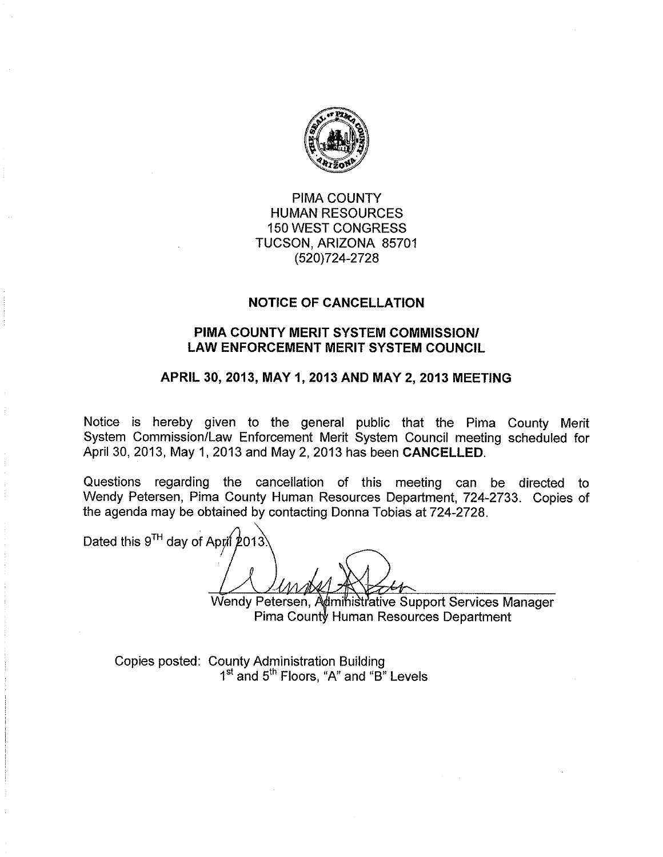

**PIMA COUNTY HUMAN RESOURCES 150 WEST CONGRESS** TUCSON, ARIZONA 85701 (520) 724-2728

## **NOTICE OF CANCELLATION**

## PIMA COUNTY MERIT SYSTEM COMMISSION/ **LAW ENFORCEMENT MERIT SYSTEM COUNCIL**

## APRIL 30, 2013, MAY 1, 2013 AND MAY 2, 2013 MEETING

Notice is hereby given to the general public that the Pima County Merit System Commission/Law Enforcement Merit System Council meeting scheduled for April 30, 2013, May 1, 2013 and May 2, 2013 has been CANCELLED.

Questions regarding the cancellation of this meeting can be directed to Wendy Petersen, Pima County Human Resources Department, 724-2733. Copies of the agenda may be obtained by contacting Donna Tobias at 724-2728.

Dated this 9TH day of April 2013

Wendy Petersen, Administrative Support Services Manager Pima County Human Resources Department

Copies posted: County Administration Building 1<sup>st</sup> and 5<sup>th</sup> Floors. "A" and "B" Levels